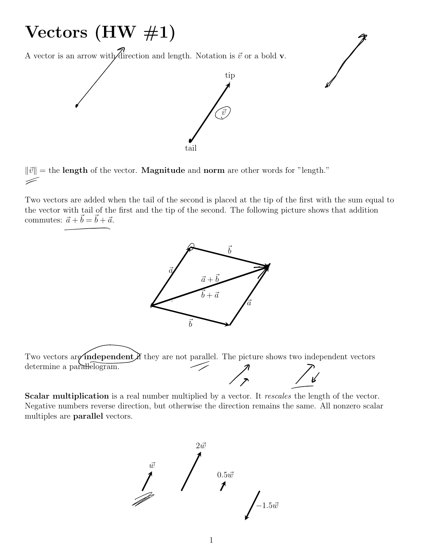## Vectors  $(HW \# 1)$

A vector is an arrow with direction and length. Notation is  $\vec{v}$  or a bold **v**.



I

 $\|\vec{v}\|$  = the **length** of the vector. **Magnitude** and **norm** are other words for "length."

Two vectors are added when the tail of the second is placed at the tip of the first with the sum equal to the vector with tail of the first and the tip of the second. The following picture shows that addition commutes:  $\vec{a} + \vec{b} = \vec{b} + \vec{a}$ .





Scalar multiplication is a real number multiplied by a vector. It *rescales* the length of the vector. Negative numbers reverse direction, but otherwise the direction remains the same. All nonzero scalar multiples are parallel vectors.

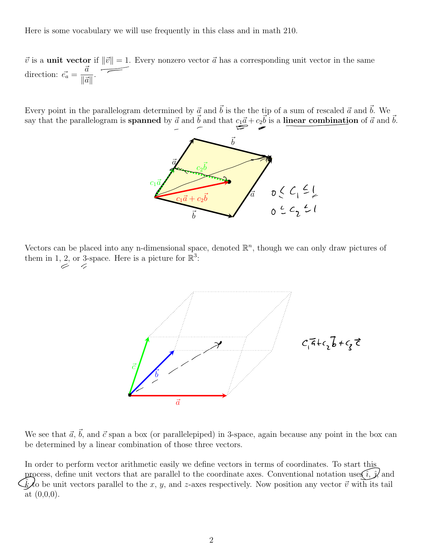Here is some vocabulary we will use frequently in this class and in math 210.

 $\vec{v}$  is a unit vector if  $\|\vec{v}\| = 1$ . Every nonzero vector  $\vec{a}$  has a corresponding unit vector in the same direction:  $\vec{e_a} = \frac{\vec{a}}{\sqrt{a}}$  $\|\vec{a}\|$ .

Every point in the parallelogram determined by  $\vec{a}$  and  $\vec{b}$  is the the tip of a sum of rescaled  $\vec{a}$  and  $\vec{b}$ . We say that the parallelogram is **spanned** by  $\vec{a}$  and  $\vec{b}$  and that  $c_1\vec{a} + c_2\vec{b}$  is a linear combination of  $\vec{a}$  and  $\vec{b}$ .



Vectors can be placed into any n-dimensional space, denoted  $\mathbb{R}^n$ , though we can only draw pictures of them in 1, 2, or 3-space. Here is a picture for  $\mathbb{R}^3$ :



We see that  $\vec{a}$ ,  $\vec{b}$ , and  $\vec{c}$  span a box (or parallelepiped) in 3-space, again because any point in the box can be determined by a linear combination of those three vectors.

In order to perform vector arithmetic easily we define vectors in terms of coordinates. To start this process, define unit vectors that are parallel to the coordinate axes. Conventional notation uses  $\hat{i}, \hat{j}$  and  $\hat{k}$  to be unit vectors parallel to the x, y, and z-axes respectively. Now position any vector  $\vec{v}$  wit at (0,0,0).  $\frac{\hat{i}}{\text{i}}$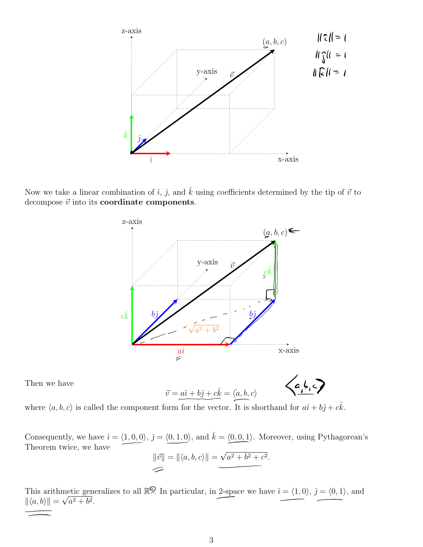

Now we take a linear combination of  $\hat{i}$ ,  $\hat{j}$ , and  $\hat{k}$  using coefficients determined by the tip of  $\vec{v}$  to decompose  $\vec{v}$  into its **coordinate components**.



Then we have

$$
\vec{v} = a\hat{i} + b\hat{j} + c\hat{k} = \langle a, b, c \rangle
$$

where  $\langle a, b, c \rangle$  is called the component form for the vector. It is shorthand for  $a\hat{i} + b\hat{j} + c\hat{k}$ .

Consequently, we have  $\hat{i} = \langle 1, 0, 0 \rangle$ ,  $\hat{j} = \langle 0, 1, 0 \rangle$ , and  $\hat{k} = \langle 0, 0, 1 \rangle$ . Moreover, using Pythagorean's Theorem twice, we have

$$
\|\vec{v}\| = \|\langle a, b, c \rangle\| = \underbrace{\sqrt{a^2 + b^2 + c^2}}.
$$

This arithmetic generalizes to all  $\mathbb{R}^{\mathcal{D}}$ . In particular, in 2-space we have  $\hat{i} = \langle 1, 0 \rangle$ ,  $\hat{j} = \langle 0, 1 \rangle$ , and  $\|\langle a, b \rangle \| = \sqrt{a^2 + b^2}.$  $\frac{p}{\lambda}$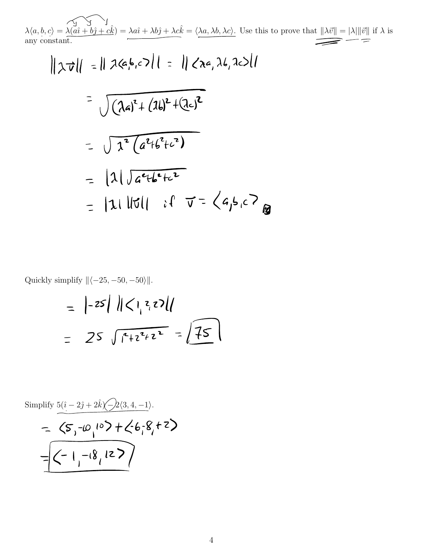$\lambda \langle a, b, c \rangle = \lambda \underbrace{(a\hat{i} + b\hat{j} + c\hat{k})}_{\text{any constant.}} = \lambda a\hat{i} + \lambda b\hat{j} + \lambda c\hat{k} = \langle \lambda a, \lambda b, \lambda c \rangle.$  Use this to prove that  $||\lambda \vec{v}|| = |\lambda| ||\vec{v}||$  if  $\lambda$  is any constant.

$$
|| \chi \vec{v} || = || \chi (a, b, c) || = || \chi (a, \lambda b, \lambda c) ||
$$
  
= 
$$
\sqrt{( \lambda a)^2 + (\lambda b)^2 + (\lambda c)^2}
$$
  
= 
$$
\sqrt{ \lambda^2 ( a^2 + b^2 + c^2)}
$$
  
= 
$$
|\lambda| \sqrt{ a^2 + b^2 + c^2}
$$
  
= 
$$
|\lambda| ||\vec{v}|| \quad \text{if} \quad \vec{v} = \langle a, b, c \rangle
$$

Quickly simplify  $\Vert \langle -25, -50, -50 \rangle \Vert$ .

$$
= |-25| \|C_1 z_1 z_2\|
$$
  
= 25  $\sqrt{12^2 + 2^2} = \sqrt{15}$ 

Simplify 
$$
\frac{5(\hat{i} - 2\hat{j} + 2\hat{k})\sqrt{-2}(3, 4, -1)}{-\sqrt{-2}(5, -1)^2} = \sqrt{-1, -18, 125}
$$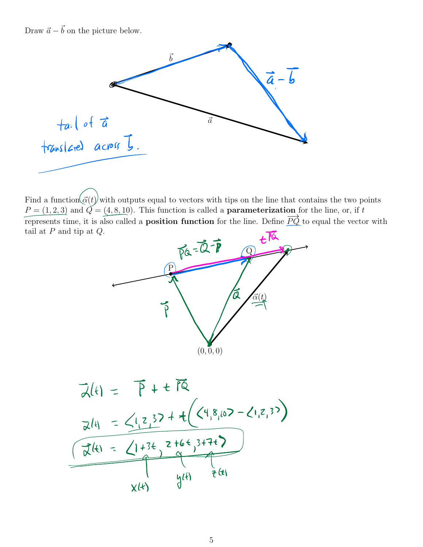Draw  $\vec{a} - \vec{b}$  on the picture below.



Find a function  $\langle \vec{\alpha}(t) \rangle$  with outputs equal to vectors with tips on the line that contains the two points  $P = (1, 2, 3)$  and  $\tilde{Q} = (4, 8, 10)$ . This function is called a **parameterization** for the line, or, if *t* represents time, it is also called a **position function** for the line. Define  $\overrightarrow{PQ}$  to equal the vector with tail at *P* and tip at *Q*.